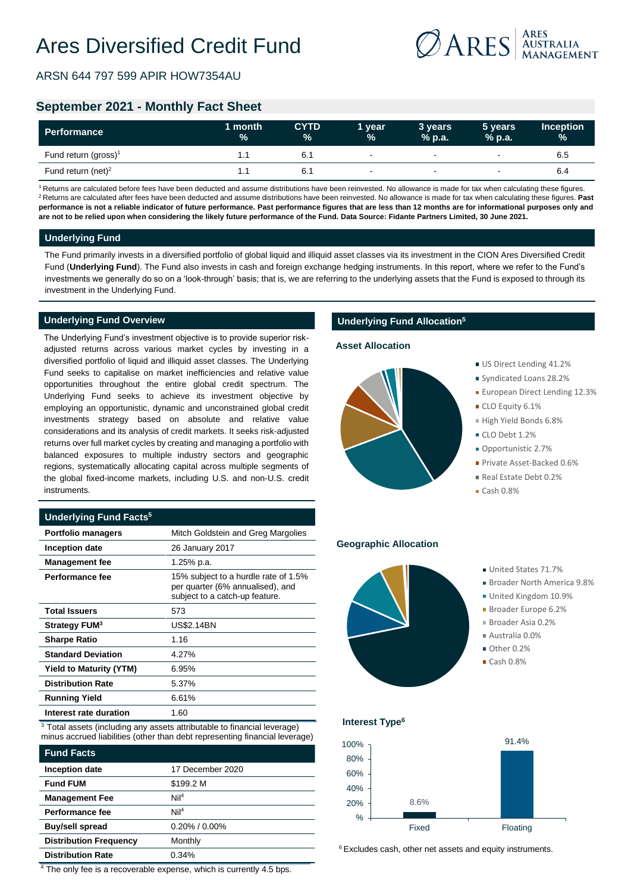ARSN 644 797 599 APIR HOW7354AU



# **September 2021 - Monthly Fact Sheet**

| Performance                      | 1 month<br>$\frac{1}{2}$ | <b>CYTD</b><br>$\%$ | 1 vear<br>$\frac{9}{6}$  | 3 vears<br>$%$ p.a.      | 5 years<br>$%$ p.a. | <b>Inception</b><br>$\frac{9}{6}$ |
|----------------------------------|--------------------------|---------------------|--------------------------|--------------------------|---------------------|-----------------------------------|
| Fund return (gross) <sup>1</sup> | ۱.۱                      | 6.1                 | $\overline{\phantom{0}}$ | $\overline{\phantom{a}}$ | $\sim$              | 6.5                               |
| Fund return (net) <sup>2</sup>   |                          | 6.1                 | $\overline{\phantom{0}}$ | $\overline{\phantom{a}}$ |                     | 6.4                               |

<sup>1</sup> Returns are calculated before fees have been deducted and assume distributions have been reinvested. No allowance is made for tax when calculating these figures. <sup>2</sup> Returns are calculated after fees have been deducted and assume distributions have been reinvested. No allowance is made for tax when calculating these figures. **Past performance is not a reliable indicator of future performance. Past performance figures that are less than 12 months are for informational purposes only and are not to be relied upon when considering the likely future performance of the Fund. Data Source: Fidante Partners Limited, 30 June 2021.**

## **Underlying Fund**

The Fund primarily invests in a diversified portfolio of global liquid and illiquid asset classes via its investment in the CION Ares Diversified Credit Fund (**Underlying Fund**). The Fund also invests in cash and foreign exchange hedging instruments. In this report, where we refer to the Fund's investments we generally do so on a 'look-through' basis; that is, we are referring to the underlying assets that the Fund is exposed to through its investment in the Underlying Fund.

## **Underlying Fund Overview**

The Underlying Fund's investment objective is to provide superior riskadjusted returns across various market cycles by investing in a diversified portfolio of liquid and illiquid asset classes. The Underlying Fund seeks to capitalise on market inefficiencies and relative value opportunities throughout the entire global credit spectrum. The Underlying Fund seeks to achieve its investment objective by employing an opportunistic, dynamic and unconstrained global credit investments strategy based on absolute and relative value considerations and its analysis of credit markets. It seeks risk-adjusted returns over full market cycles by creating and managing a portfolio with balanced exposures to multiple industry sectors and geographic regions, systematically allocating capital across multiple segments of the global fixed-income markets, including U.S. and non-U.S. credit instruments.

## **Underlying Fund Facts<sup>5</sup>**

| <b>Portfolio managers</b>      | Mitch Goldstein and Greg Margolies                                                                         |
|--------------------------------|------------------------------------------------------------------------------------------------------------|
| Inception date                 | 26 January 2017                                                                                            |
| <b>Management fee</b>          | 1.25% p.a.                                                                                                 |
| Performance fee                | 15% subject to a hurdle rate of 1.5%<br>per quarter (6% annualised), and<br>subject to a catch-up feature. |
| <b>Total Issuers</b>           | 573                                                                                                        |
| Strategy FUM <sup>3</sup>      | US\$2.14BN                                                                                                 |
| <b>Sharpe Ratio</b>            | 1.16                                                                                                       |
| <b>Standard Deviation</b>      | 4.27%                                                                                                      |
| <b>Yield to Maturity (YTM)</b> | 6.95%                                                                                                      |
| <b>Distribution Rate</b>       | 5.37%                                                                                                      |
| <b>Running Yield</b>           | 6.61%                                                                                                      |
| Interest rate duration         | 1.60                                                                                                       |

 $3$  Total assets (including any assets attributable to financial leverage) minus accrued liabilities (other than debt representing financial leverage)

| <b>Fund Facts</b>             |                     |
|-------------------------------|---------------------|
| Inception date                | 17 December 2020    |
| <b>Fund FUM</b>               | \$199.2 M           |
| <b>Management Fee</b>         | NiI <sup>4</sup>    |
| <b>Performance fee</b>        | NiI <sup>4</sup>    |
| <b>Buy/sell spread</b>        | $0.20\%$ / $0.00\%$ |
| <b>Distribution Frequency</b> | Monthly             |
| <b>Distribution Rate</b>      | 0.34%               |

<sup>4</sup> The only fee is a recoverable expense, which is currently 4.5 bps.

## **Underlying Fund Allocation<sup>5</sup>**

### **Asset Allocation**



- US Direct Lending 41.2%
- Syndicated Loans 28.2%
- **European Direct Lending 12.3%**
- CLO Equity 6.1%
- High Yield Bonds 6.8%
- CLO Debt 1.2%
- Opportunistic 2.7%
- Private Asset-Backed 0.6%
- Real Estate Debt 0.2%
- Cash 0.8%

#### **Geographic Allocation**

- 
- United States 71.7%
	- Broader North America 9.8%
	- United Kingdom 10.9%
	- Broader Europe 6.2%
	- Broader Asia 0.2%
	- Australia 0.0%
	- Other 0.2%
	- $\blacksquare$  Cash 0.8%

#### **Interest Type<sup>6</sup>**



<sup>6</sup> Excludes cash, other net assets and equity instruments.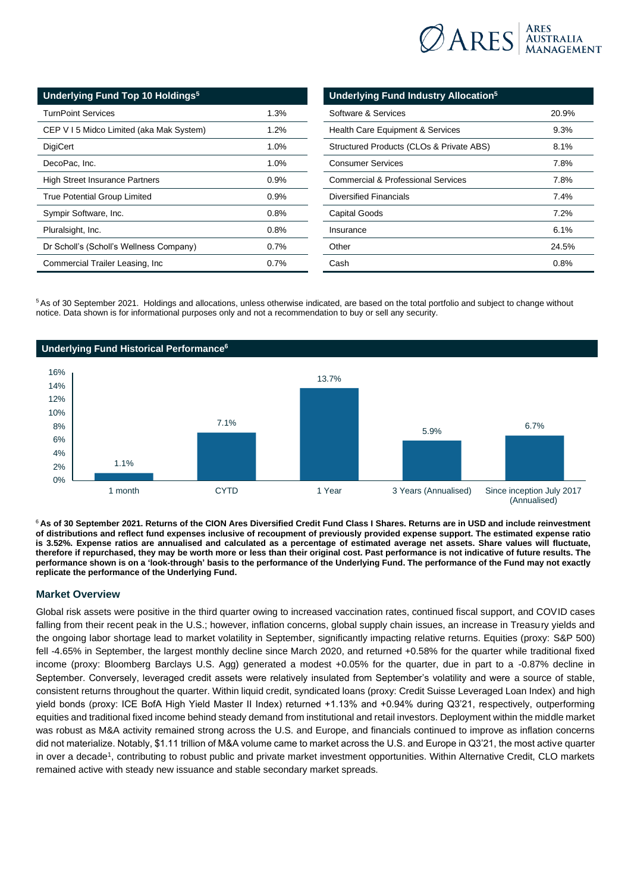

| <b>Underlying Fund Top 10 Holdings<sup>5</sup></b> |         |  |
|----------------------------------------------------|---------|--|
| <b>TurnPoint Services</b>                          | 1.3%    |  |
| CEP V I 5 Midco Limited (aka Mak System)           | $1.2\%$ |  |
| DigiCert                                           | 1.0%    |  |
| DecoPac, Inc.                                      | 1.0%    |  |
| <b>High Street Insurance Partners</b>              | 0.9%    |  |
| <b>True Potential Group Limited</b>                | 0.9%    |  |
| Sympir Software, Inc.                              | 0.8%    |  |
| Pluralsight, Inc.                                  | 0.8%    |  |
| Dr Scholl's (Scholl's Wellness Company)            | 0.7%    |  |
| Commercial Trailer Leasing, Inc.                   | 0.7%    |  |

| Underlying Fund Industry Allocation <sup>5</sup> |       |  |
|--------------------------------------------------|-------|--|
| Software & Services                              | 20.9% |  |
| <b>Health Care Equipment &amp; Services</b>      | 9.3%  |  |
| Structured Products (CLOs & Private ABS)         | 8.1%  |  |
| <b>Consumer Services</b>                         | 7.8%  |  |
| Commercial & Professional Services               | 7.8%  |  |
| <b>Diversified Financials</b>                    | 7.4%  |  |
| Capital Goods                                    | 7.2%  |  |
| Insurance                                        | 6.1%  |  |
| Other                                            | 24.5% |  |
| Cash                                             | 0.8%  |  |

<sup>5</sup>As of 30 September 2021. Holdings and allocations, unless otherwise indicated, are based on the total portfolio and subject to change without notice. Data shown is for informational purposes only and not a recommendation to buy or sell any security.



<sup>6</sup>**As of 30 September 2021. Returns of the CION Ares Diversified Credit Fund Class I Shares. Returns are in USD and include reinvestment of distributions and reflect fund expenses inclusive of recoupment of previously provided expense support. The estimated expense ratio is 3.52%. Expense ratios are annualised and calculated as a percentage of estimated average net assets. Share values will fluctuate, therefore if repurchased, they may be worth more or less than their original cost. Past performance is not indicative of future results. The performance shown is on a 'look-through' basis to the performance of the Underlying Fund. The performance of the Fund may not exactly replicate the performance of the Underlying Fund.**

## **Market Overview**

Global risk assets were positive in the third quarter owing to increased vaccination rates, continued fiscal support, and COVID cases falling from their recent peak in the U.S.; however, inflation concerns, global supply chain issues, an increase in Treasury yields and the ongoing labor shortage lead to market volatility in September, significantly impacting relative returns. Equities (proxy: S&P 500) fell -4.65% in September, the largest monthly decline since March 2020, and returned +0.58% for the quarter while traditional fixed income (proxy: Bloomberg Barclays U.S. Agg) generated a modest +0.05% for the quarter, due in part to a -0.87% decline in September. Conversely, leveraged credit assets were relatively insulated from September's volatility and were a source of stable, consistent returns throughout the quarter. Within liquid credit, syndicated loans (proxy: Credit Suisse Leveraged Loan Index) and high yield bonds (proxy: ICE BofA High Yield Master II Index) returned +1.13% and +0.94% during Q3'21, respectively, outperforming equities and traditional fixed income behind steady demand from institutional and retail investors. Deployment within the middle market was robust as M&A activity remained strong across the U.S. and Europe, and financials continued to improve as inflation concerns did not materialize. Notably, \$1.11 trillion of M&A volume came to market across the U.S. and Europe in Q3'21, the most active quarter in over a decade<sup>1</sup>, contributing to robust public and private market investment opportunities. Within Alternative Credit, CLO markets remained active with steady new issuance and stable secondary market spreads.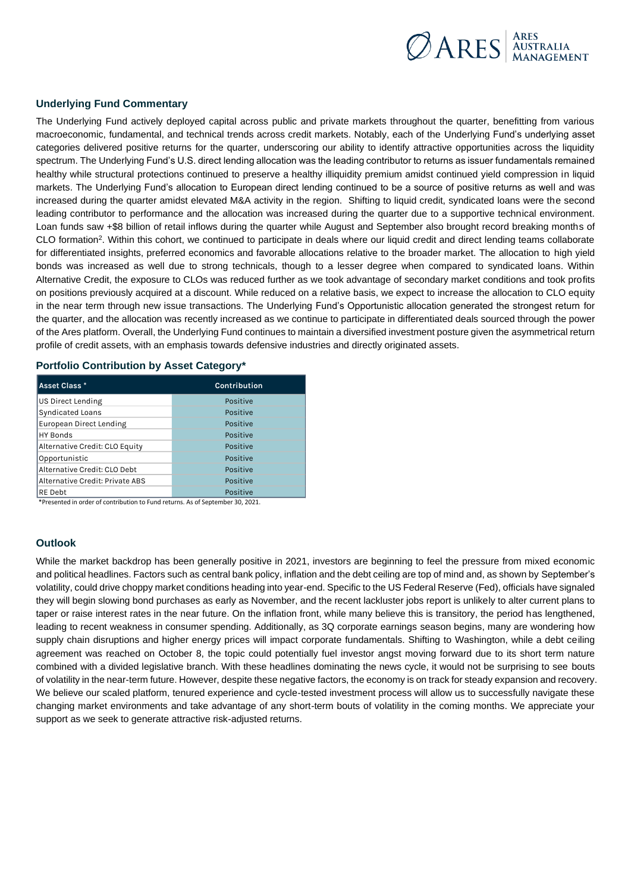

## **Underlying Fund Commentary**

The Underlying Fund actively deployed capital across public and private markets throughout the quarter, benefitting from various macroeconomic, fundamental, and technical trends across credit markets. Notably, each of the Underlying Fund's underlying asset categories delivered positive returns for the quarter, underscoring our ability to identify attractive opportunities across the liquidity spectrum. The Underlying Fund's U.S. direct lending allocation was the leading contributor to returns as issuer fundamentals remained healthy while structural protections continued to preserve a healthy illiquidity premium amidst continued yield compression in liquid markets. The Underlying Fund's allocation to European direct lending continued to be a source of positive returns as well and was increased during the quarter amidst elevated M&A activity in the region. Shifting to liquid credit, syndicated loans were the second leading contributor to performance and the allocation was increased during the quarter due to a supportive technical environment. Loan funds saw +\$8 billion of retail inflows during the quarter while August and September also brought record breaking months of CLO formation<sup>2</sup>. Within this cohort, we continued to participate in deals where our liquid credit and direct lending teams collaborate for differentiated insights, preferred economics and favorable allocations relative to the broader market. The allocation to high yield bonds was increased as well due to strong technicals, though to a lesser degree when compared to syndicated loans. Within Alternative Credit, the exposure to CLOs was reduced further as we took advantage of secondary market conditions and took profits on positions previously acquired at a discount. While reduced on a relative basis, we expect to increase the allocation to CLO equity in the near term through new issue transactions. The Underlying Fund's Opportunistic allocation generated the strongest return for the quarter, and the allocation was recently increased as we continue to participate in differentiated deals sourced through the power of the Ares platform. Overall, the Underlying Fund continues to maintain a diversified investment posture given the asymmetrical return profile of credit assets, with an emphasis towards defensive industries and directly originated assets.

#### **Portfolio Contribution by Asset Category\***

| Asset Class *                   | <b>Contribution</b> |
|---------------------------------|---------------------|
| <b>US Direct Lending</b>        | Positive            |
| <b>Syndicated Loans</b>         | Positive            |
| <b>European Direct Lending</b>  | Positive            |
| <b>HY Bonds</b>                 | Positive            |
| Alternative Credit: CLO Equity  | Positive            |
| Opportunistic                   | Positive            |
| Alternative Credit: CLO Debt    | Positive            |
| Alternative Credit: Private ABS | Positive            |
| IRE Debt                        | Positive            |

\*Presented in order of contribution to Fund returns. As of September 30, 2021.

## **Outlook**

While the market backdrop has been generally positive in 2021, investors are beginning to feel the pressure from mixed economic and political headlines. Factors such as central bank policy, inflation and the debt ceiling are top of mind and, as shown by September's volatility, could drive choppy market conditions heading into year-end. Specific to the US Federal Reserve (Fed), officials have signaled they will begin slowing bond purchases as early as November, and the recent lackluster jobs report is unlikely to alter current plans to taper or raise interest rates in the near future. On the inflation front, while many believe this is transitory, the period has lengthened, leading to recent weakness in consumer spending. Additionally, as 3Q corporate earnings season begins, many are wondering how supply chain disruptions and higher energy prices will impact corporate fundamentals. Shifting to Washington, while a debt ceiling agreement was reached on October 8, the topic could potentially fuel investor angst moving forward due to its short term nature combined with a divided legislative branch. With these headlines dominating the news cycle, it would not be surprising to see bouts of volatility in the near-term future. However, despite these negative factors, the economy is on track for steady expansion and recovery. We believe our scaled platform, tenured experience and cycle-tested investment process will allow us to successfully navigate these changing market environments and take advantage of any short-term bouts of volatility in the coming months. We appreciate your support as we seek to generate attractive risk-adjusted returns.